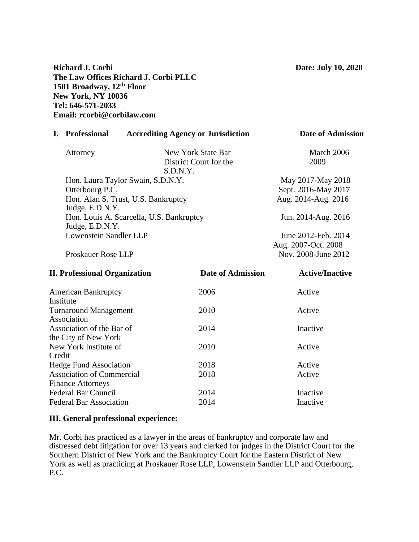# **Richard J. Corbi Date: July 10, 2020 The Law Offices Richard J. Corbi PLLC 1501 Broadway, 12th Floor New York, NY 10036 Tel: 646-571-2033 Email: rcorbi@corbilaw.com**

| I. Professional                          | <b>Accrediting Agency or Jurisdiction</b> | <b>Date of Admission</b> |
|------------------------------------------|-------------------------------------------|--------------------------|
| Attorney                                 | New York State Bar                        | March 2006               |
|                                          | District Court for the                    | 2009                     |
|                                          | S.D.N.Y.                                  |                          |
| Hon. Laura Taylor Swain, S.D.N.Y.        |                                           | May 2017-May 2018        |
| Otterbourg P.C.                          |                                           | Sept. 2016-May 2017      |
| Hon. Alan S. Trust, U.S. Bankruptcy      |                                           | Aug. 2014-Aug. 2016      |
| Judge, E.D.N.Y.                          |                                           |                          |
| Hon. Louis A. Scarcella, U.S. Bankruptcy |                                           | Jun. 2014-Aug. 2016      |
| Judge, E.D.N.Y.                          |                                           |                          |
| Lowenstein Sandler LLP                   |                                           | June 2012-Feb. 2014      |
|                                          |                                           | Aug. 2007-Oct. 2008      |
| Proskauer Rose LLP                       |                                           | Nov. 2008-June 2012      |

| <b>II. Professional Organization</b> | <b>Date of Admission</b> | <b>Active/Inactive</b> |  |
|--------------------------------------|--------------------------|------------------------|--|
| <b>American Bankruptcy</b>           | 2006                     | Active                 |  |
| Institute                            |                          |                        |  |
| <b>Turnaround Management</b>         | 2010                     | Active                 |  |
| Association                          |                          |                        |  |
| Association of the Bar of            | 2014                     | Inactive               |  |
| the City of New York                 |                          |                        |  |
| New York Institute of                | 2010                     | Active                 |  |
| Credit                               |                          |                        |  |
| <b>Hedge Fund Association</b>        | 2018                     | Active                 |  |
| <b>Association of Commercial</b>     | 2018                     | Active                 |  |
| <b>Finance Attorneys</b>             |                          |                        |  |
| <b>Federal Bar Council</b>           | 2014                     | Inactive               |  |
| <b>Federal Bar Association</b>       | 2014                     | Inactive               |  |

# **III. General professional experience:**

Mr. Corbi has practiced as a lawyer in the areas of bankruptcy and corporate law and distressed debt litigation for over 13 years and clerked for judges in the District Court for the Southern District of New York and the Bankruptcy Court for the Eastern District of New York as well as practicing at Proskauer Rose LLP, Lowenstein Sandler LLP and Otterbourg, P.C.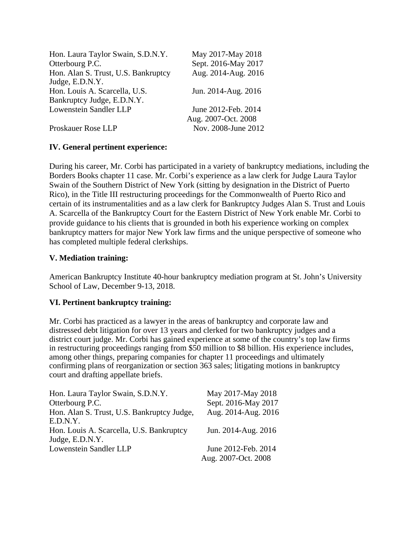| Hon. Laura Taylor Swain, S.D.N.Y.   | May 2017-May 2018   |
|-------------------------------------|---------------------|
| Otterbourg P.C.                     | Sept. 2016-May 2017 |
| Hon. Alan S. Trust, U.S. Bankruptcy | Aug. 2014-Aug. 2016 |
| Judge, E.D.N.Y.                     |                     |
| Hon. Louis A. Scarcella, U.S.       | Jun. 2014-Aug. 2016 |
| Bankruptcy Judge, E.D.N.Y.          |                     |
| <b>Lowenstein Sandler LLP</b>       | June 2012-Feb. 2014 |
|                                     | Aug. 2007-Oct. 2008 |
| Proskauer Rose LLP                  | Nov. 2008-June 2012 |

# **IV. General pertinent experience:**

During his career, Mr. Corbi has participated in a variety of bankruptcy mediations, including the Borders Books chapter 11 case. Mr. Corbi's experience as a law clerk for Judge Laura Taylor Swain of the Southern District of New York (sitting by designation in the District of Puerto Rico), in the Title III restructuring proceedings for the Commonwealth of Puerto Rico and certain of its instrumentalities and as a law clerk for Bankruptcy Judges Alan S. Trust and Louis A. Scarcella of the Bankruptcy Court for the Eastern District of New York enable Mr. Corbi to provide guidance to his clients that is grounded in both his experience working on complex bankruptcy matters for major New York law firms and the unique perspective of someone who has completed multiple federal clerkships.

# **V. Mediation training:**

American Bankruptcy Institute 40-hour bankruptcy mediation program at St. John's University School of Law, December 9-13, 2018.

# **VI. Pertinent bankruptcy training:**

Mr. Corbi has practiced as a lawyer in the areas of bankruptcy and corporate law and distressed debt litigation for over 13 years and clerked for two bankruptcy judges and a district court judge. Mr. Corbi has gained experience at some of the country's top law firms in restructuring proceedings ranging from \$50 million to \$8 billion. His experience includes, among other things, preparing companies for chapter 11 proceedings and ultimately confirming plans of reorganization or section 363 sales; litigating motions in bankruptcy court and drafting appellate briefs.

| Hon. Laura Taylor Swain, S.D.N.Y.          | May 2017-May 2018   |
|--------------------------------------------|---------------------|
| Otterbourg P.C.                            | Sept. 2016-May 2017 |
| Hon. Alan S. Trust, U.S. Bankruptcy Judge, | Aug. 2014-Aug. 2016 |
| E.D.N.Y.                                   |                     |
| Hon. Louis A. Scarcella, U.S. Bankruptcy   | Jun. 2014-Aug. 2016 |
| Judge, E.D.N.Y.                            |                     |
| Lowenstein Sandler LLP                     | June 2012-Feb. 2014 |
|                                            | Aug. 2007-Oct. 2008 |